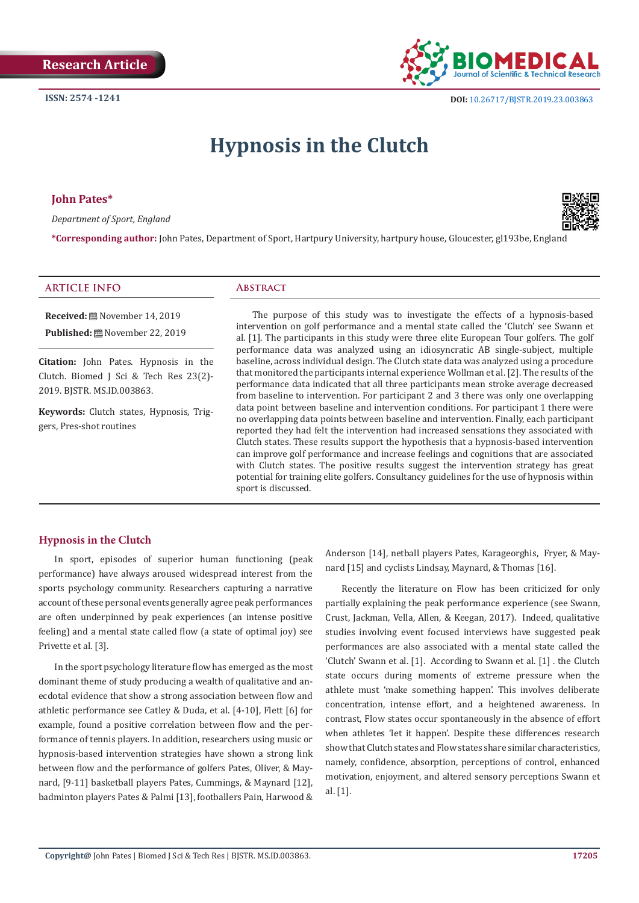

 **DOI:** [10.26717/BJSTR.2019.23.0038](http://dx.doi.org/10.26717/BJSTR.2019.23.003863)63

# **Hypnosis in the Clutch**

**John Pates\***

*Department of Sport, England*



**\*Corresponding author:** John Pates, Department of Sport, Hartpury University, hartpury house, Gloucester, gl193be, England

## **ARTICLE INFO Abstract**

**Received:** November 14, 2019 Published: <sup>(2)</sup> November 22, 2019

**Citation:** John Pates. Hypnosis in the Clutch. Biomed J Sci & Tech Res 23(2)- 2019. BJSTR. MS.ID.003863.

**Keywords:** Clutch states, Hypnosis, Triggers, Pres-shot routines

The purpose of this study was to investigate the effects of a hypnosis-based intervention on golf performance and a mental state called the 'Clutch' see Swann et al. [1]. The participants in this study were three elite European Tour golfers. The golf performance data was analyzed using an idiosyncratic AB single-subject, multiple baseline, across individual design. The Clutch state data was analyzed using a procedure that monitored the participants internal experience Wollman et al. [2]. The results of the performance data indicated that all three participants mean stroke average decreased from baseline to intervention. For participant 2 and 3 there was only one overlapping data point between baseline and intervention conditions. For participant 1 there were no overlapping data points between baseline and intervention. Finally, each participant reported they had felt the intervention had increased sensations they associated with Clutch states. These results support the hypothesis that a hypnosis-based intervention can improve golf performance and increase feelings and cognitions that are associated with Clutch states. The positive results suggest the intervention strategy has great potential for training elite golfers. Consultancy guidelines for the use of hypnosis within sport is discussed.

## **Hypnosis in the Clutch**

In sport, episodes of superior human functioning (peak performance) have always aroused widespread interest from the sports psychology community. Researchers capturing a narrative account of these personal events generally agree peak performances are often underpinned by peak experiences (an intense positive feeling) and a mental state called flow (a state of optimal joy) see Privette et al. [3].

In the sport psychology literature flow has emerged as the most dominant theme of study producing a wealth of qualitative and anecdotal evidence that show a strong association between flow and athletic performance see Catley & Duda, et al. [4-10], Flett [6] for example, found a positive correlation between flow and the performance of tennis players. In addition, researchers using music or hypnosis-based intervention strategies have shown a strong link between flow and the performance of golfers Pates, Oliver, & Maynard, [9-11] basketball players Pates, Cummings, & Maynard [12], badminton players Pates & Palmi [13], footballers Pain, Harwood & Anderson [14], netball players Pates, Karageorghis, Fryer, & Maynard [15] and cyclists Lindsay, Maynard, & Thomas [16].

Recently the literature on Flow has been criticized for only partially explaining the peak performance experience (see Swann, Crust, Jackman, Vella, Allen, & Keegan, 2017). Indeed, qualitative studies involving event focused interviews have suggested peak performances are also associated with a mental state called the 'Clutch' Swann et al. [1]. According to Swann et al. [1] . the Clutch state occurs during moments of extreme pressure when the athlete must 'make something happen'. This involves deliberate concentration, intense effort, and a heightened awareness. In contrast, Flow states occur spontaneously in the absence of effort when athletes 'let it happen'. Despite these differences research show that Clutch states and Flow states share similar characteristics, namely, confidence, absorption, perceptions of control, enhanced motivation, enjoyment, and altered sensory perceptions Swann et al. [1].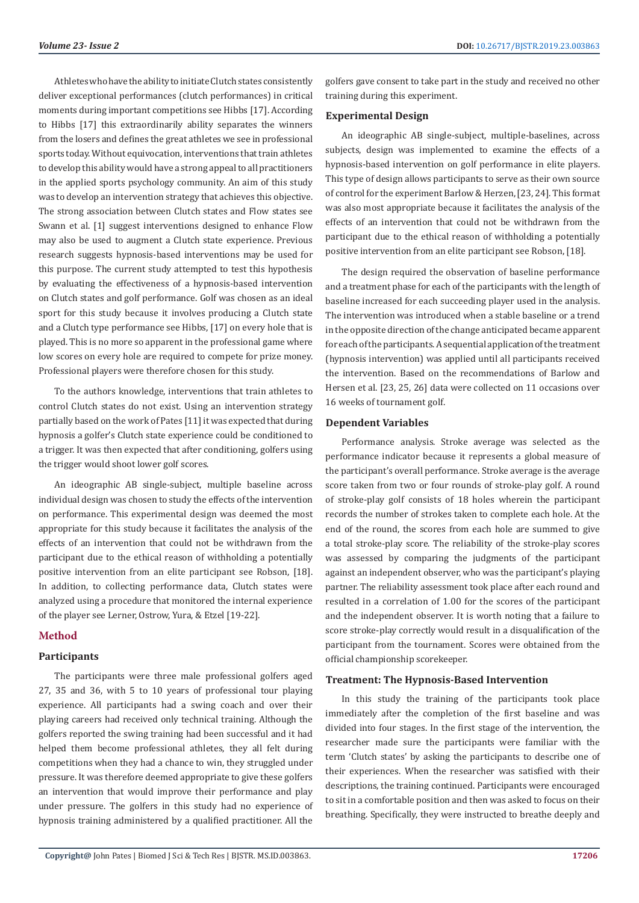Athletes who have the ability to initiate Clutch states consistently deliver exceptional performances (clutch performances) in critical moments during important competitions see Hibbs [17]. According to Hibbs [17] this extraordinarily ability separates the winners from the losers and defines the great athletes we see in professional sports today. Without equivocation, interventions that train athletes to develop this ability would have a strong appeal to all practitioners in the applied sports psychology community. An aim of this study was to develop an intervention strategy that achieves this objective. The strong association between Clutch states and Flow states see Swann et al. [1] suggest interventions designed to enhance Flow may also be used to augment a Clutch state experience. Previous research suggests hypnosis-based interventions may be used for this purpose. The current study attempted to test this hypothesis by evaluating the effectiveness of a hypnosis-based intervention on Clutch states and golf performance. Golf was chosen as an ideal sport for this study because it involves producing a Clutch state and a Clutch type performance see Hibbs, [17] on every hole that is played. This is no more so apparent in the professional game where low scores on every hole are required to compete for prize money. Professional players were therefore chosen for this study.

To the authors knowledge, interventions that train athletes to control Clutch states do not exist. Using an intervention strategy partially based on the work of Pates [11] it was expected that during hypnosis a golfer's Clutch state experience could be conditioned to a trigger. It was then expected that after conditioning, golfers using the trigger would shoot lower golf scores.

An ideographic AB single-subject, multiple baseline across individual design was chosen to study the effects of the intervention on performance. This experimental design was deemed the most appropriate for this study because it facilitates the analysis of the effects of an intervention that could not be withdrawn from the participant due to the ethical reason of withholding a potentially positive intervention from an elite participant see Robson, [18]. In addition, to collecting performance data, Clutch states were analyzed using a procedure that monitored the internal experience of the player see Lerner, Ostrow, Yura, & Etzel [19-22].

## **Method**

## **Participants**

The participants were three male professional golfers aged 27, 35 and 36, with 5 to 10 years of professional tour playing experience. All participants had a swing coach and over their playing careers had received only technical training. Although the golfers reported the swing training had been successful and it had helped them become professional athletes, they all felt during competitions when they had a chance to win, they struggled under pressure. It was therefore deemed appropriate to give these golfers an intervention that would improve their performance and play under pressure. The golfers in this study had no experience of hypnosis training administered by a qualified practitioner. All the

golfers gave consent to take part in the study and received no other training during this experiment.

## **Experimental Design**

An ideographic AB single-subject, multiple-baselines, across subjects, design was implemented to examine the effects of a hypnosis-based intervention on golf performance in elite players. This type of design allows participants to serve as their own source of control for the experiment Barlow & Herzen, [23, 24]. This format was also most appropriate because it facilitates the analysis of the effects of an intervention that could not be withdrawn from the participant due to the ethical reason of withholding a potentially positive intervention from an elite participant see Robson, [18].

The design required the observation of baseline performance and a treatment phase for each of the participants with the length of baseline increased for each succeeding player used in the analysis. The intervention was introduced when a stable baseline or a trend in the opposite direction of the change anticipated became apparent for each of the participants. A sequential application of the treatment (hypnosis intervention) was applied until all participants received the intervention. Based on the recommendations of Barlow and Hersen et al. [23, 25, 26] data were collected on 11 occasions over 16 weeks of tournament golf.

## **Dependent Variables**

Performance analysis. Stroke average was selected as the performance indicator because it represents a global measure of the participant's overall performance. Stroke average is the average score taken from two or four rounds of stroke-play golf. A round of stroke-play golf consists of 18 holes wherein the participant records the number of strokes taken to complete each hole. At the end of the round, the scores from each hole are summed to give a total stroke-play score. The reliability of the stroke-play scores was assessed by comparing the judgments of the participant against an independent observer, who was the participant's playing partner. The reliability assessment took place after each round and resulted in a correlation of 1.00 for the scores of the participant and the independent observer. It is worth noting that a failure to score stroke-play correctly would result in a disqualification of the participant from the tournament. Scores were obtained from the official championship scorekeeper.

## **Treatment: The Hypnosis-Based Intervention**

In this study the training of the participants took place immediately after the completion of the first baseline and was divided into four stages. In the first stage of the intervention, the researcher made sure the participants were familiar with the term 'Clutch states' by asking the participants to describe one of their experiences. When the researcher was satisfied with their descriptions, the training continued. Participants were encouraged to sit in a comfortable position and then was asked to focus on their breathing. Specifically, they were instructed to breathe deeply and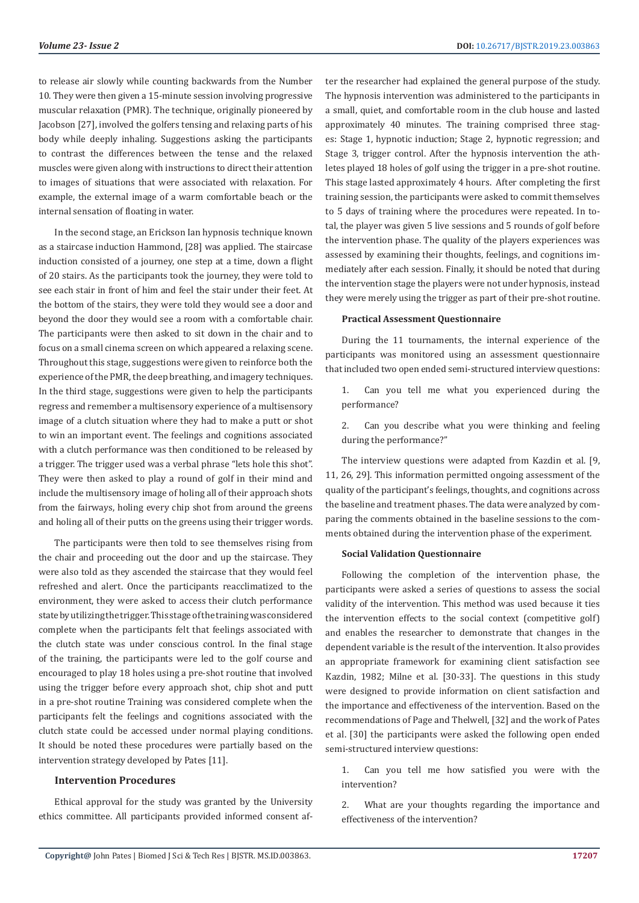to release air slowly while counting backwards from the Number 10. They were then given a 15-minute session involving progressive muscular relaxation (PMR). The technique, originally pioneered by Jacobson [27], involved the golfers tensing and relaxing parts of his body while deeply inhaling. Suggestions asking the participants to contrast the differences between the tense and the relaxed muscles were given along with instructions to direct their attention to images of situations that were associated with relaxation. For example, the external image of a warm comfortable beach or the internal sensation of floating in water.

In the second stage, an Erickson Ian hypnosis technique known as a staircase induction Hammond, [28] was applied. The staircase induction consisted of a journey, one step at a time, down a flight of 20 stairs. As the participants took the journey, they were told to see each stair in front of him and feel the stair under their feet. At the bottom of the stairs, they were told they would see a door and beyond the door they would see a room with a comfortable chair. The participants were then asked to sit down in the chair and to focus on a small cinema screen on which appeared a relaxing scene. Throughout this stage, suggestions were given to reinforce both the experience of the PMR, the deep breathing, and imagery techniques. In the third stage, suggestions were given to help the participants regress and remember a multisensory experience of a multisensory image of a clutch situation where they had to make a putt or shot to win an important event. The feelings and cognitions associated with a clutch performance was then conditioned to be released by a trigger. The trigger used was a verbal phrase "lets hole this shot". They were then asked to play a round of golf in their mind and include the multisensory image of holing all of their approach shots from the fairways, holing every chip shot from around the greens and holing all of their putts on the greens using their trigger words.

The participants were then told to see themselves rising from the chair and proceeding out the door and up the staircase. They were also told as they ascended the staircase that they would feel refreshed and alert. Once the participants reacclimatized to the environment, they were asked to access their clutch performance state by utilizing the trigger. This stage of the training was considered complete when the participants felt that feelings associated with the clutch state was under conscious control. In the final stage of the training, the participants were led to the golf course and encouraged to play 18 holes using a pre-shot routine that involved using the trigger before every approach shot, chip shot and putt in a pre-shot routine Training was considered complete when the participants felt the feelings and cognitions associated with the clutch state could be accessed under normal playing conditions. It should be noted these procedures were partially based on the intervention strategy developed by Pates [11].

## **Intervention Procedures**

Ethical approval for the study was granted by the University ethics committee. All participants provided informed consent after the researcher had explained the general purpose of the study. The hypnosis intervention was administered to the participants in a small, quiet, and comfortable room in the club house and lasted approximately 40 minutes. The training comprised three stages: Stage 1, hypnotic induction; Stage 2, hypnotic regression; and Stage 3, trigger control. After the hypnosis intervention the athletes played 18 holes of golf using the trigger in a pre-shot routine. This stage lasted approximately 4 hours. After completing the first training session, the participants were asked to commit themselves to 5 days of training where the procedures were repeated. In total, the player was given 5 live sessions and 5 rounds of golf before the intervention phase. The quality of the players experiences was assessed by examining their thoughts, feelings, and cognitions immediately after each session. Finally, it should be noted that during the intervention stage the players were not under hypnosis, instead they were merely using the trigger as part of their pre-shot routine.

#### **Practical Assessment Questionnaire**

During the 11 tournaments, the internal experience of the participants was monitored using an assessment questionnaire that included two open ended semi-structured interview questions:

- 1. Can you tell me what you experienced during the performance?
- 2. Can you describe what you were thinking and feeling during the performance?"

The interview questions were adapted from Kazdin et al. [9, 11, 26, 29]. This information permitted ongoing assessment of the quality of the participant's feelings, thoughts, and cognitions across the baseline and treatment phases. The data were analyzed by comparing the comments obtained in the baseline sessions to the comments obtained during the intervention phase of the experiment.

#### **Social Validation Questionnaire**

Following the completion of the intervention phase, the participants were asked a series of questions to assess the social validity of the intervention. This method was used because it ties the intervention effects to the social context (competitive golf) and enables the researcher to demonstrate that changes in the dependent variable is the result of the intervention. It also provides an appropriate framework for examining client satisfaction see Kazdin, 1982; Milne et al. [30-33]. The questions in this study were designed to provide information on client satisfaction and the importance and effectiveness of the intervention. Based on the recommendations of Page and Thelwell, [32] and the work of Pates et al. [30] the participants were asked the following open ended semi-structured interview questions:

1. Can you tell me how satisfied you were with the intervention?

2. What are your thoughts regarding the importance and effectiveness of the intervention?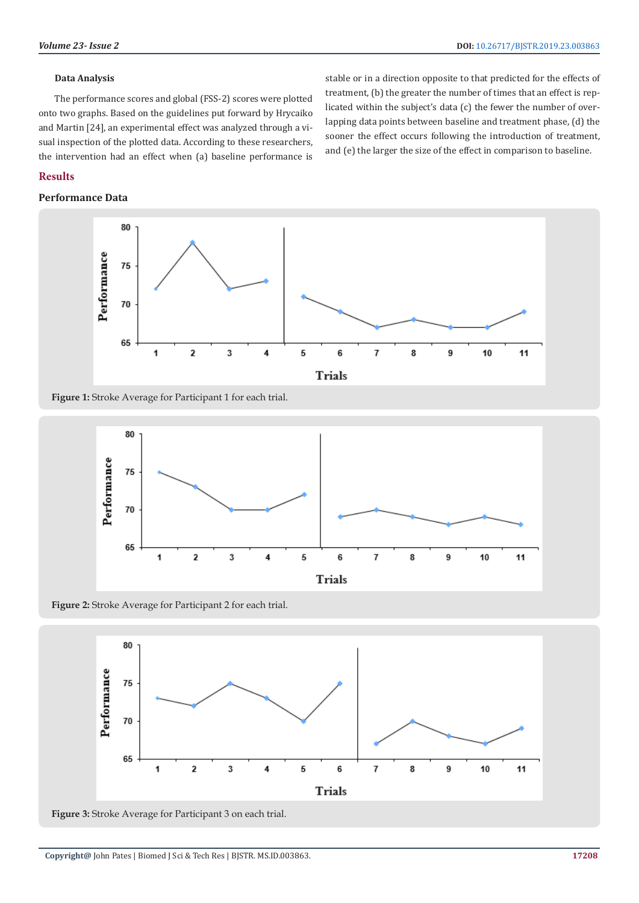## **Data Analysis**

The performance scores and global (FSS-2) scores were plotted onto two graphs. Based on the guidelines put forward by Hrycaiko and Martin [24], an experimental effect was analyzed through a visual inspection of the plotted data. According to these researchers, the intervention had an effect when (a) baseline performance is

stable or in a direction opposite to that predicted for the effects of treatment, (b) the greater the number of times that an effect is replicated within the subject's data (c) the fewer the number of overlapping data points between baseline and treatment phase, (d) the sooner the effect occurs following the introduction of treatment, and (e) the larger the size of the effect in comparison to baseline.

# **Results**

## **Performance Data**



Figure 1: Stroke Average for Participant 1 for each trial.



**Figure 2:** Stroke Average for Participant 2 for each trial.



**Figure 3:** Stroke Average for Participant 3 on each trial.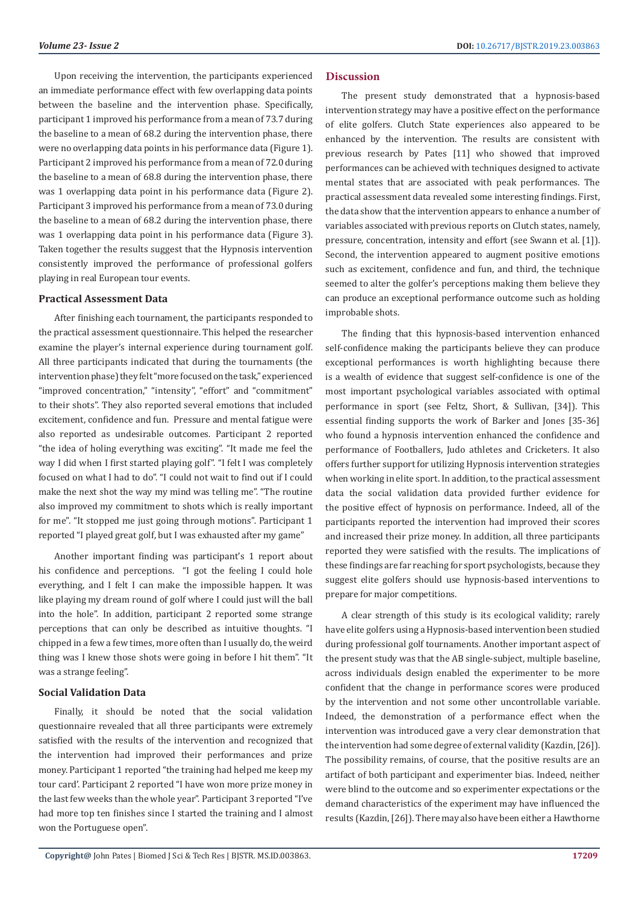Upon receiving the intervention, the participants experienced an immediate performance effect with few overlapping data points between the baseline and the intervention phase. Specifically, participant 1 improved his performance from a mean of 73.7 during the baseline to a mean of 68.2 during the intervention phase, there were no overlapping data points in his performance data (Figure 1). Participant 2 improved his performance from a mean of 72.0 during the baseline to a mean of 68.8 during the intervention phase, there was 1 overlapping data point in his performance data (Figure 2). Participant 3 improved his performance from a mean of 73.0 during the baseline to a mean of 68.2 during the intervention phase, there was 1 overlapping data point in his performance data (Figure 3). Taken together the results suggest that the Hypnosis intervention consistently improved the performance of professional golfers playing in real European tour events.

## **Practical Assessment Data**

After finishing each tournament, the participants responded to the practical assessment questionnaire. This helped the researcher examine the player's internal experience during tournament golf. All three participants indicated that during the tournaments (the intervention phase) they felt "more focused on the task," experienced "improved concentration," "intensity", "effort" and "commitment" to their shots". They also reported several emotions that included excitement, confidence and fun. Pressure and mental fatigue were also reported as undesirable outcomes. Participant 2 reported "the idea of holing everything was exciting". "It made me feel the way I did when I first started playing golf". "I felt I was completely focused on what I had to do". "I could not wait to find out if I could make the next shot the way my mind was telling me". "The routine also improved my commitment to shots which is really important for me". "It stopped me just going through motions". Participant 1 reported "I played great golf, but I was exhausted after my game"

Another important finding was participant's 1 report about his confidence and perceptions. "I got the feeling I could hole everything, and I felt I can make the impossible happen. It was like playing my dream round of golf where I could just will the ball into the hole". In addition, participant 2 reported some strange perceptions that can only be described as intuitive thoughts. "I chipped in a few a few times, more often than I usually do, the weird thing was I knew those shots were going in before I hit them". "It was a strange feeling".

#### **Social Validation Data**

Finally, it should be noted that the social validation questionnaire revealed that all three participants were extremely satisfied with the results of the intervention and recognized that the intervention had improved their performances and prize money. Participant 1 reported "the training had helped me keep my tour card'. Participant 2 reported "I have won more prize money in the last few weeks than the whole year". Participant 3 reported "I've had more top ten finishes since I started the training and I almost won the Portuguese open".

## **Discussion**

The present study demonstrated that a hypnosis-based intervention strategy may have a positive effect on the performance of elite golfers. Clutch State experiences also appeared to be enhanced by the intervention. The results are consistent with previous research by Pates [11] who showed that improved performances can be achieved with techniques designed to activate mental states that are associated with peak performances. The practical assessment data revealed some interesting findings. First, the data show that the intervention appears to enhance a number of variables associated with previous reports on Clutch states, namely, pressure, concentration, intensity and effort (see Swann et al. [1]). Second, the intervention appeared to augment positive emotions such as excitement, confidence and fun, and third, the technique seemed to alter the golfer's perceptions making them believe they can produce an exceptional performance outcome such as holding improbable shots.

The finding that this hypnosis-based intervention enhanced self-confidence making the participants believe they can produce exceptional performances is worth highlighting because there is a wealth of evidence that suggest self-confidence is one of the most important psychological variables associated with optimal performance in sport (see Feltz, Short, & Sullivan, [34]). This essential finding supports the work of Barker and Jones [35-36] who found a hypnosis intervention enhanced the confidence and performance of Footballers, Judo athletes and Cricketers. It also offers further support for utilizing Hypnosis intervention strategies when working in elite sport. In addition, to the practical assessment data the social validation data provided further evidence for the positive effect of hypnosis on performance. Indeed, all of the participants reported the intervention had improved their scores and increased their prize money. In addition, all three participants reported they were satisfied with the results. The implications of these findings are far reaching for sport psychologists, because they suggest elite golfers should use hypnosis-based interventions to prepare for major competitions.

A clear strength of this study is its ecological validity; rarely have elite golfers using a Hypnosis-based intervention been studied during professional golf tournaments. Another important aspect of the present study was that the AB single-subject, multiple baseline, across individuals design enabled the experimenter to be more confident that the change in performance scores were produced by the intervention and not some other uncontrollable variable. Indeed, the demonstration of a performance effect when the intervention was introduced gave a very clear demonstration that the intervention had some degree of external validity (Kazdin, [26]). The possibility remains, of course, that the positive results are an artifact of both participant and experimenter bias. Indeed, neither were blind to the outcome and so experimenter expectations or the demand characteristics of the experiment may have influenced the results (Kazdin, [26]). There may also have been either a Hawthorne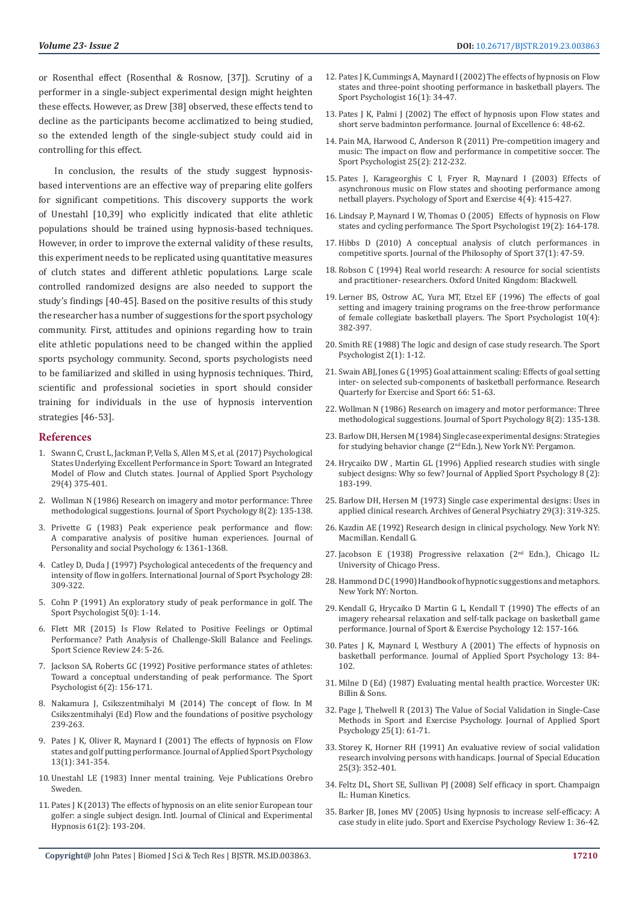or Rosenthal effect (Rosenthal & Rosnow, [37]). Scrutiny of a performer in a single-subject experimental design might heighten these effects. However, as Drew [38] observed, these effects tend to decline as the participants become acclimatized to being studied, so the extended length of the single-subject study could aid in controlling for this effect.

In conclusion, the results of the study suggest hypnosisbased interventions are an effective way of preparing elite golfers for significant competitions. This discovery supports the work of Unestahl [10,39] who explicitly indicated that elite athletic populations should be trained using hypnosis-based techniques. However, in order to improve the external validity of these results, this experiment needs to be replicated using quantitative measures of clutch states and different athletic populations. Large scale controlled randomized designs are also needed to support the study's findings [40-45]. Based on the positive results of this study the researcher has a number of suggestions for the sport psychology community. First, attitudes and opinions regarding how to train elite athletic populations need to be changed within the applied sports psychology community. Second, sports psychologists need to be familiarized and skilled in using hypnosis techniques. Third, scientific and professional societies in sport should consider training for individuals in the use of hypnosis intervention strategies [46-53].

#### **References**

- 1. [Swann C, Crust L, Jackman P, Vella S, Allen M S, et al. \(2017\) Psychological](https://www.tandfonline.com/doi/full/10.1080/10413200.2016.1272650)  [States Underlying Excellent Performance in Sport: Toward an Integrated](https://www.tandfonline.com/doi/full/10.1080/10413200.2016.1272650)  [Model of Flow and Clutch states. Journal of Applied Sport Psychology](https://www.tandfonline.com/doi/full/10.1080/10413200.2016.1272650)  [29\(4\) 375-401.](https://www.tandfonline.com/doi/full/10.1080/10413200.2016.1272650)
- 2. [Wollman N \(1986\) Research on imagery and motor performance: Three](https://journals.humankinetics.com/view/journals/jsep/8/2/article-p135.xml)  [methodological suggestions. Journal of Sport Psychology 8\(2\): 135-138.](https://journals.humankinetics.com/view/journals/jsep/8/2/article-p135.xml)
- 3. [Privette G \(1983\) Peak experience peak performance and flow:](https://psycnet.apa.org/record/1984-15068-001)  [A comparative analysis of positive human experiences. Journal of](https://psycnet.apa.org/record/1984-15068-001)  [Personality and social Psychology 6: 1361-1368.](https://psycnet.apa.org/record/1984-15068-001)
- 4. [Catley D, Duda J \(1997\) Psychological antecedents of the frequency and](https://psycnet.apa.org/record/1998-02141-001)  [intensity of flow in golfers. International Journal of Sport Psychology 28:](https://psycnet.apa.org/record/1998-02141-001)  [309-322.](https://psycnet.apa.org/record/1998-02141-001)
- 5. [Cohn P \(1991\) An exploratory study of peak performance in golf. The](https://journals.humankinetics.com/view/journals/tsp/5/1/article-p1.xml)  [Sport Psychologist 5\(0\): 1-14.](https://journals.humankinetics.com/view/journals/tsp/5/1/article-p1.xml)
- 6. [Flett MR \(2015\) Is Flow Related to Positive Feelings or Optimal](https://web.a.ebscohost.com/abstract?direct=true&profile=ehost&scope=site&authtype=crawler&jrnl=20668732&AN=102701057&h=1AYWYQ0ZutaL6Q3u5zPCp734NPqKfGa0NDnf1rxEEvJrbWmgeK9GcqmWYVLraRyxUq1UQ79DhYAu7Kf3skqKsw%3d%3d&crl=f&resultNs=AdminWebAuth&resultLocal=ErrCrlNotAuth&crlhashurl=login.aspx%3fdirect%3dtrue%26profile%3dehost%26scope%3dsite%26authtype%3dcrawler%26jrnl%3d20668732%26AN%3d102701057)  [Performance? Path Analysis of Challenge-Skill Balance and Feelings.](https://web.a.ebscohost.com/abstract?direct=true&profile=ehost&scope=site&authtype=crawler&jrnl=20668732&AN=102701057&h=1AYWYQ0ZutaL6Q3u5zPCp734NPqKfGa0NDnf1rxEEvJrbWmgeK9GcqmWYVLraRyxUq1UQ79DhYAu7Kf3skqKsw%3d%3d&crl=f&resultNs=AdminWebAuth&resultLocal=ErrCrlNotAuth&crlhashurl=login.aspx%3fdirect%3dtrue%26profile%3dehost%26scope%3dsite%26authtype%3dcrawler%26jrnl%3d20668732%26AN%3d102701057)  [Sport Science Review 24: 5-26.](https://web.a.ebscohost.com/abstract?direct=true&profile=ehost&scope=site&authtype=crawler&jrnl=20668732&AN=102701057&h=1AYWYQ0ZutaL6Q3u5zPCp734NPqKfGa0NDnf1rxEEvJrbWmgeK9GcqmWYVLraRyxUq1UQ79DhYAu7Kf3skqKsw%3d%3d&crl=f&resultNs=AdminWebAuth&resultLocal=ErrCrlNotAuth&crlhashurl=login.aspx%3fdirect%3dtrue%26profile%3dehost%26scope%3dsite%26authtype%3dcrawler%26jrnl%3d20668732%26AN%3d102701057)
- 7. [Jackson SA, Roberts GC \(1992\) Positive performance states of athletes:](https://journals.humankinetics.com/view/journals/tsp/6/2/article-p156.xml)  [Toward a conceptual understanding of peak performance. The Sport](https://journals.humankinetics.com/view/journals/tsp/6/2/article-p156.xml)  [Psychologist 6\(2\): 156-171.](https://journals.humankinetics.com/view/journals/tsp/6/2/article-p156.xml)
- 8. Nakamura J, Csikszentmihalyi M (2014) The concept of flow. In M Csikszentmihalyi (Ed) Flow and the foundations of positive psychology 239-263.
- 9. [Pates J K, Oliver R, Maynard I \(2001\) The effects of hypnosis on Flow](https://www.tandfonline.com/doi/abs/10.1080/104132001753226238)  [states and golf putting performance. Journal of Applied Sport Psychology](https://www.tandfonline.com/doi/abs/10.1080/104132001753226238)  [13\(1\): 341-354.](https://www.tandfonline.com/doi/abs/10.1080/104132001753226238)
- 10. Unestahl LE (1983) Inner mental training. Veje Publications Orebro Sweden.
- 11. [Pates J K \(2013\) The effects of hypnosis on an elite senior European tour](https://www.ncbi.nlm.nih.gov/pubmed/23427843)  [golfer: a single subject design. Intl. Journal of Clinical and Experimental](https://www.ncbi.nlm.nih.gov/pubmed/23427843)  [Hypnosis 61\(2\): 193-204.](https://www.ncbi.nlm.nih.gov/pubmed/23427843)
- 12. [Pates J K, Cummings A, Maynard I \(2002\) The effects of hypnosis on Flow](https://journals.humankinetics.com/view/journals/tsp/16/1/article-p34.xml) [states and three-point shooting performance in basketball players. The](https://journals.humankinetics.com/view/journals/tsp/16/1/article-p34.xml) [Sport Psychologist 16\(1\): 34-47.](https://journals.humankinetics.com/view/journals/tsp/16/1/article-p34.xml)
- 13. [Pates J K, Palmi J \(2002\) The effect of hypnosis upon Flow states and](https://derby.openrepository.com/handle/10545/232979) [short serve badminton performance. Journal of Excellence 6: 48-62.](https://derby.openrepository.com/handle/10545/232979)
- 14. [Pain MA, Harwood C, Anderson R \(2011\) Pre-competition imagery and](https://journals.humankinetics.com/view/journals/tsp/25/2/article-p212.xml) [music: The impact on flow and performance in competitive soccer. The](https://journals.humankinetics.com/view/journals/tsp/25/2/article-p212.xml) [Sport Psychologist 25\(2\): 212-232.](https://journals.humankinetics.com/view/journals/tsp/25/2/article-p212.xml)
- 15. [Pates J, Karageorghis C I, Fryer R, Maynard I \(2003\) Effects of](https://www.sciencedirect.com/science/article/pii/S1469029202000390) [asynchronous music on Flow states and shooting performance among](https://www.sciencedirect.com/science/article/pii/S1469029202000390) [netball players. Psychology of Sport and Exercise 4\(4\): 415-427.](https://www.sciencedirect.com/science/article/pii/S1469029202000390)
- 16. [Lindsay P, Maynard I W, Thomas O \(2005\) Effects of hypnosis on Flow](https://journals.humankinetics.com/view/journals/tsp/19/2/article-p164.xml) [states and cycling performance. The Sport Psychologist 19\(2\): 164-178.](https://journals.humankinetics.com/view/journals/tsp/19/2/article-p164.xml)
- 17. [Hibbs D \(2010\) A conceptual analysis of clutch performances in](https://www.tandfonline.com/doi/abs/10.1080/00948705.2010.9714765) [competitive sports. Journal of the Philosophy of Sport 37\(1\): 47-59.](https://www.tandfonline.com/doi/abs/10.1080/00948705.2010.9714765)
- 18. Robson C (1994) Real world research: A resource for social scientists and practitioner- researchers. Oxford United Kingdom: Blackwell.
- 19. [Lerner BS, Ostrow AC, Yura MT, Etzel EF \(1996\) The effects of goal](https://journals.humankinetics.com/view/journals/tsp/10/4/article-p382.xml) [setting and imagery training programs on the free-throw performance](https://journals.humankinetics.com/view/journals/tsp/10/4/article-p382.xml) [of female collegiate basketball players. The Sport Psychologist 10\(4\):](https://journals.humankinetics.com/view/journals/tsp/10/4/article-p382.xml) [382-397.](https://journals.humankinetics.com/view/journals/tsp/10/4/article-p382.xml)
- 20. [Smith RE \(1988\) The logic and design of case study research. The Sport](https://journals.humankinetics.com/view/journals/tsp/2/1/article-p1.xml) [Psychologist 2\(1\): 1-12.](https://journals.humankinetics.com/view/journals/tsp/2/1/article-p1.xml)
- 21. [Swain ABJ, Jones G \(1995\) Goal attainment scaling: Effects of goal setting](https://www.ncbi.nlm.nih.gov/pubmed/7777696) [inter- on selected sub-components of basketball performance. Research](https://www.ncbi.nlm.nih.gov/pubmed/7777696) [Quarterly for Exercise and Sport 66: 51-63.](https://www.ncbi.nlm.nih.gov/pubmed/7777696)
- 22. [Wollman N \(1986\) Research on imagery and motor performance: Three](https://journals.humankinetics.com/view/journals/jsep/8/2/article-p135.xml) [methodological suggestions. Journal of Sport Psychology 8\(2\): 135-138.](https://journals.humankinetics.com/view/journals/jsep/8/2/article-p135.xml)
- 23. Barlow DH, Hersen M (1984) Single case experimental designs: Strategies for studying behavior change (2<sup>nd</sup> Edn.), New York NY: Pergamon.
- 24. [Hrycaiko DW , Martin GL \(1996\) Applied research studies with single](https://www.tandfonline.com/doi/abs/10.1080/10413209608406476) [subject designs: Why so few? Journal of Applied Sport Psychology 8 \(2\):](https://www.tandfonline.com/doi/abs/10.1080/10413209608406476) [183-199.](https://www.tandfonline.com/doi/abs/10.1080/10413209608406476)
- 25. [Barlow DH, Hersen M \(1973\) Single case experimental designs: Uses in](https://jamanetwork.com/journals/jamapsychiatry/article-abstract/490969) [applied clinical research. Archives of General Psychiatry 29\(3\): 319-325.](https://jamanetwork.com/journals/jamapsychiatry/article-abstract/490969)
- 26. Kazdin AE (1992) Research design in clinical psychology. New York NY: Macmillan. Kendall G.
- 27. Jacobson E (1938) Progressive relaxation ( $2<sup>nd</sup>$  Edn.), Chicago IL: University of Chicago Press.
- 28. Hammond D C (1990) Handbook of hypnotic suggestions and metaphors. New York NY: Norton.
- 29. Kendall G, Hrycaiko D Martin G L, Kendall T (1990) The effects of an imagery rehearsal relaxation and self-talk package on basketball game performance. Journal of Sport & Exercise Psychology 12: 157-166.
- 30. [Pates J K, Maynard I, Westbury A \(2001\) The effects of hypnosis on](https://www.tandfonline.com/doi/abs/10.1080/10413200109339005) [basketball performance. Journal of Applied Sport Psychology 13: 84-](https://www.tandfonline.com/doi/abs/10.1080/10413200109339005) [102.](https://www.tandfonline.com/doi/abs/10.1080/10413200109339005)
- 31. Milne D (Ed) (1987) Evaluating mental health practice. Worcester UK: Billin & Sons.
- 32. [Page J, Thelwell R \(2013\) The Value of Social Validation in Single-Case](https://www.tandfonline.com/doi/abs/10.1080/10413200.2012.663859?journalCode=uasp20) [Methods in Sport and Exercise Psychology. Journal of Applied Sport](https://www.tandfonline.com/doi/abs/10.1080/10413200.2012.663859?journalCode=uasp20) [Psychology 25\(1\): 61-71.](https://www.tandfonline.com/doi/abs/10.1080/10413200.2012.663859?journalCode=uasp20)
- 33. [Storey K, Horner RH \(1991\) An evaluative review of social validation](https://journals.sagepub.com/doi/abs/10.1177/002246699102500307) [research involving persons with handicaps. Journal of Special Education](https://journals.sagepub.com/doi/abs/10.1177/002246699102500307) [25\(3\): 352-401.](https://journals.sagepub.com/doi/abs/10.1177/002246699102500307)
- 34. Feltz DL, Short SE, Sullivan PJ (2008) Self efficacy in sport. Champaign IL: Human Kinetics.
- 35. Barker JB, Jones MV (2005) Using hypnosis to increase self-efficacy: A case study in elite judo. Sport and Exercise Psychology Review 1: 36-42.